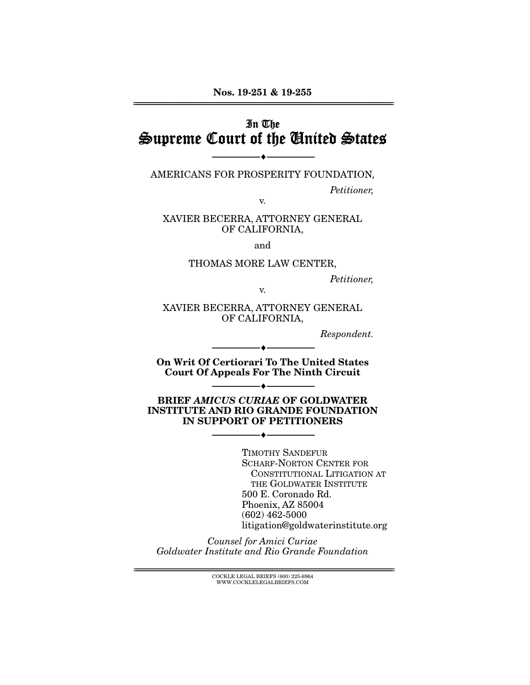# In The Supreme Court of the United States

AMERICANS FOR PROSPERITY FOUNDATION,

--------------------------------- ♦ ---------------------------------

Petitioner,

v.

XAVIER BECERRA, ATTORNEY GENERAL OF CALIFORNIA,

and

#### THOMAS MORE LAW CENTER,

Petitioner,

v.

XAVIER BECERRA, ATTORNEY GENERAL OF CALIFORNIA,

Respondent.

**On Writ Of Certiorari To The United States Court Of Appeals For The Ninth Circuit** 

 $\bullet$  -

--------------------------------- ♦ ---------------------------------

**BRIEF** *AMICUS CURIAE* **OF GOLDWATER INSTITUTE AND RIO GRANDE FOUNDATION IN SUPPORT OF PETITIONERS** 

 $- \bullet -$ 

TIMOTHY SANDEFUR SCHARF-NORTON CENTER FOR CONSTITUTIONAL LITIGATION AT THE GOLDWATER INSTITUTE 500 E. Coronado Rd. Phoenix, AZ 85004 (602) 462-5000 litigation@goldwaterinstitute.org

Counsel for Amici Curiae Goldwater Institute and Rio Grande Foundation

> ${ \rm COCKLE}$  LEGAL BRIEFS (800) 225-6964 WWW.COCKLELEGALBRIEFS.COM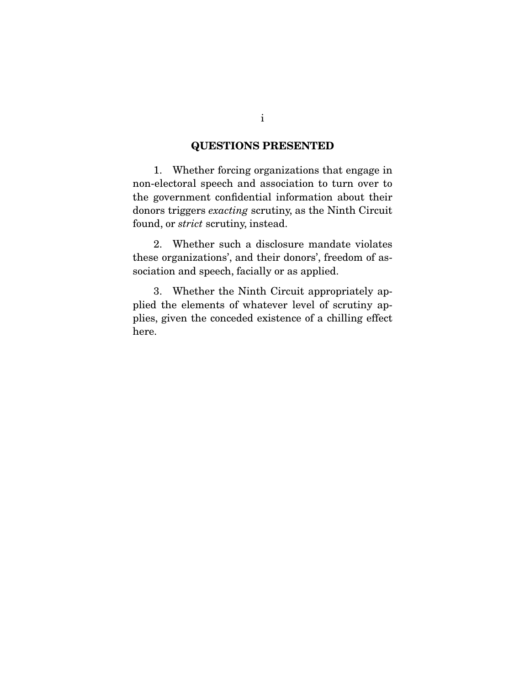## **QUESTIONS PRESENTED**

 1. Whether forcing organizations that engage in non-electoral speech and association to turn over to the government confidential information about their donors triggers exacting scrutiny, as the Ninth Circuit found, or strict scrutiny, instead.

 2. Whether such a disclosure mandate violates these organizations', and their donors', freedom of association and speech, facially or as applied.

 3. Whether the Ninth Circuit appropriately applied the elements of whatever level of scrutiny applies, given the conceded existence of a chilling effect here.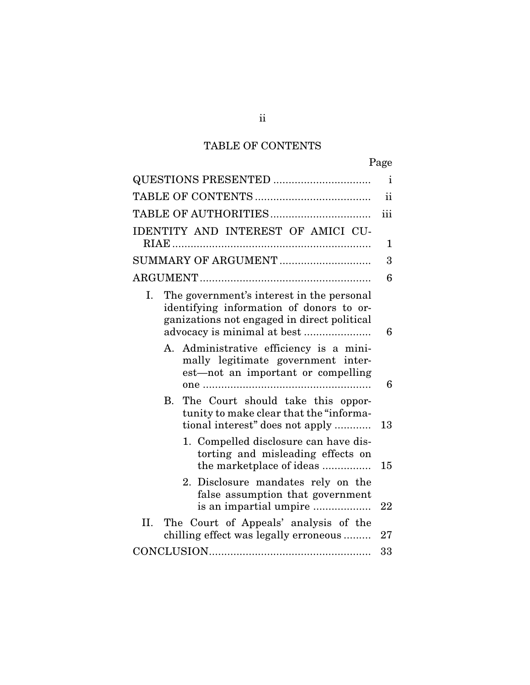# TABLE OF CONTENTS

|                                                                                                                                                                           | Page          |
|---------------------------------------------------------------------------------------------------------------------------------------------------------------------------|---------------|
| QUESTIONS PRESENTED                                                                                                                                                       | $\mathbf{i}$  |
|                                                                                                                                                                           | <sub>ii</sub> |
|                                                                                                                                                                           | iii           |
| IDENTITY AND INTEREST OF AMICI CU-                                                                                                                                        |               |
|                                                                                                                                                                           | 1             |
| SUMMARY OF ARGUMENT                                                                                                                                                       | 3             |
|                                                                                                                                                                           | 6             |
| The government's interest in the personal<br>Ι.<br>identifying information of donors to or-<br>ganizations not engaged in direct political<br>advocacy is minimal at best | 6             |
| A. Administrative efficiency is a mini-<br>mally legitimate government inter-<br>est—not an important or compelling                                                       | 6             |
| The Court should take this oppor-<br>B.<br>tunity to make clear that the "informa-<br>tional interest" does not apply                                                     | 13            |
| 1. Compelled disclosure can have dis-<br>torting and misleading effects on<br>the marketplace of ideas                                                                    | 15            |
| 2. Disclosure mandates rely on the<br>false assumption that government<br>is an impartial umpire                                                                          | 22            |
| The Court of Appeals' analysis of the<br>П.<br>chilling effect was legally erroneous                                                                                      | 27            |
|                                                                                                                                                                           | 33            |
|                                                                                                                                                                           |               |

ii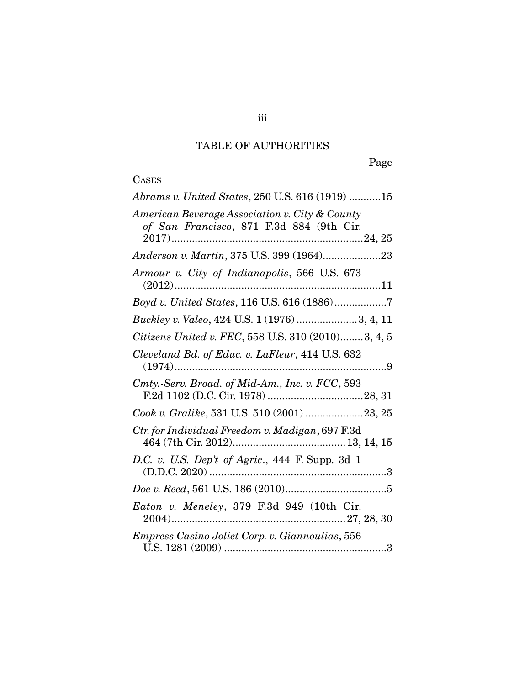# TABLE OF AUTHORITIES

Page

# CASES

| Abrams v. United States, 250 U.S. 616 (1919) 15                                            |
|--------------------------------------------------------------------------------------------|
| American Beverage Association v. City & County<br>of San Francisco, 871 F.3d 884 (9th Cir. |
| Anderson v. Martin, 375 U.S. 399 (1964)23                                                  |
| Armour v. City of Indianapolis, 566 U.S. 673                                               |
| Boyd v. United States, 116 U.S. 616 (1886)7                                                |
| Buckley v. Valeo, 424 U.S. 1 (1976) 3, 4, 11                                               |
| Citizens United v. FEC, 558 U.S. 310 (2010)3, 4, 5                                         |
| Cleveland Bd. of Educ. v. LaFleur, 414 U.S. 632                                            |
| Cmty.-Serv. Broad. of Mid-Am., Inc. v. FCC, 593                                            |
| $\it{Cook}$ v. $\it{Gralike}, 531$ U.S. $510$ $(2001)$ 23, 25                              |
| Ctr. for Individual Freedom v. Madigan, 697 F.3d                                           |
| D.C. v. U.S. Dep't of Agric., 444 F. Supp. 3d 1                                            |
|                                                                                            |
| Eaton v. Meneley, 379 F.3d 949 (10th Cir.                                                  |
| Empress Casino Joliet Corp. v. Giannoulias, 556                                            |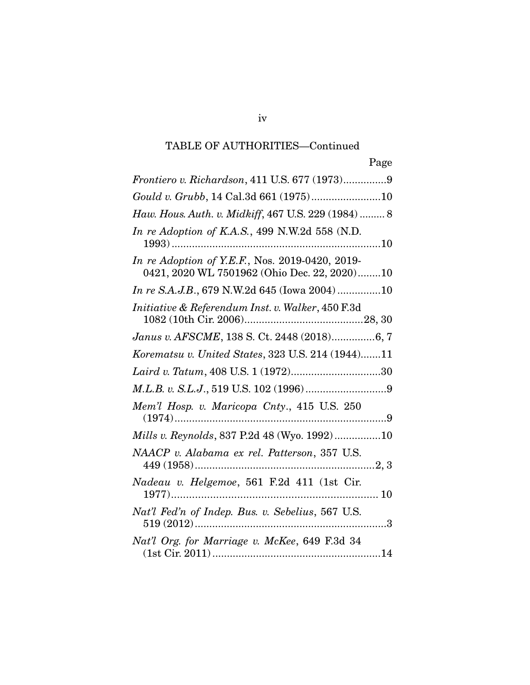| Page                                                                                            |
|-------------------------------------------------------------------------------------------------|
| Frontiero v. Richardson, 411 U.S. 677 (1973)9                                                   |
|                                                                                                 |
| Haw. Hous. Auth. v. Midkiff, 467 U.S. 229 (1984)  8                                             |
| In re Adoption of K.A.S., 499 N.W.2d 558 (N.D.                                                  |
| In re Adoption of Y.E.F., Nos. 2019-0420, 2019-<br>0421, 2020 WL 7501962 (Ohio Dec. 22, 2020)10 |
| In re S.A.J.B., 679 N.W.2d 645 (Iowa 2004)10                                                    |
| Initiative & Referendum Inst. v. Walker, 450 F.3d                                               |
| Janus v. AFSCME, 138 S. Ct. 2448 (2018)6, 7                                                     |
| Korematsu v. United States, 323 U.S. 214 (1944)11                                               |
| Laird v. Tatum, 408 U.S. 1 (1972)30                                                             |
|                                                                                                 |
| Mem'l Hosp. v. Maricopa Cnty., 415 U.S. 250                                                     |
| Mills v. Reynolds, 837 P.2d 48 (Wyo. 1992)10                                                    |
| NAACP v. Alabama ex rel. Patterson, 357 U.S.                                                    |
| Nadeau v. Helgemoe, 561 F.2d 411 (1st Cir.                                                      |
| Nat'l Fed'n of Indep. Bus. v. Sebelius, 567 U.S.<br>. 3                                         |
| Nat'l Org. for Marriage v. McKee, 649 F.3d 34                                                   |

#### iv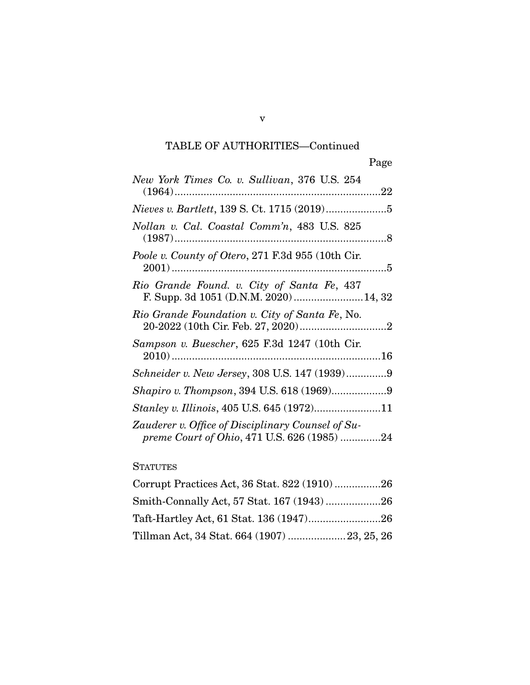| New York Times Co. v. Sullivan, 376 U.S. 254                                                     |
|--------------------------------------------------------------------------------------------------|
| <i>Nieves v. Bartlett</i> , 139 S. Ct. 1715 (2019)5                                              |
| Nollan v. Cal. Coastal Comm'n, 483 U.S. 825                                                      |
| Poole v. County of Otero, 271 F.3d 955 (10th Cir.                                                |
| Rio Grande Found. v. City of Santa Fe, 437<br>F. Supp. 3d 1051 (D.N.M. 2020) 14, 32              |
| Rio Grande Foundation v. City of Santa Fe, No.                                                   |
| Sampson v. Buescher, 625 F.3d 1247 (10th Cir.                                                    |
| Schneider v. New Jersey, 308 U.S. 147 (1939)9                                                    |
|                                                                                                  |
| Stanley v. Illinois, 405 U.S. 645 (1972)11                                                       |
| Zauderer v. Office of Disciplinary Counsel of Su-<br>preme Court of Ohio, 471 U.S. 626 (1985) 24 |

## **STATUTES**

v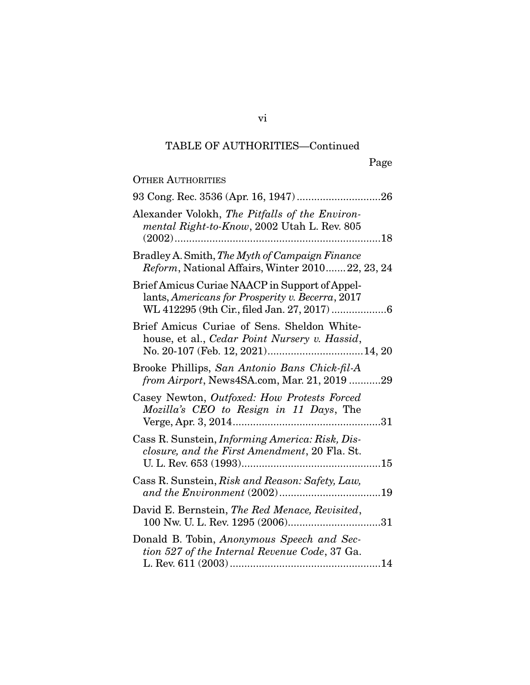| <b>OTHER AUTHORITIES</b>                                                                                                                           |
|----------------------------------------------------------------------------------------------------------------------------------------------------|
|                                                                                                                                                    |
| Alexander Volokh, The Pitfalls of the Environ-<br>mental Right-to-Know, 2002 Utah L. Rev. 805                                                      |
| Bradley A. Smith, The Myth of Campaign Finance<br>Reform, National Affairs, Winter 201022, 23, 24                                                  |
| Brief Amicus Curiae NAACP in Support of Appel-<br>lants, Americans for Prosperity v. Becerra, 2017<br>WL 412295 (9th Cir., filed Jan. 27, 2017)  6 |
| Brief Amicus Curiae of Sens. Sheldon White-<br>house, et al., Cedar Point Nursery v. Hassid,                                                       |
| Brooke Phillips, San Antonio Bans Chick-fil-A<br>from Airport, News4SA.com, Mar. 21, 2019 29                                                       |
| Casey Newton, Outfoxed: How Protests Forced<br>Mozilla's CEO to Resign in 11 Days, The                                                             |
| Cass R. Sunstein, Informing America: Risk, Dis-<br>closure, and the First Amendment, 20 Fla. St.                                                   |
| Cass R. Sunstein, Risk and Reason: Safety, Law,                                                                                                    |
| David E. Bernstein, The Red Menace, Revisited,                                                                                                     |
| Donald B. Tobin, Anonymous Speech and Sec-<br>tion 527 of the Internal Revenue Code, 37 Ga.                                                        |

vi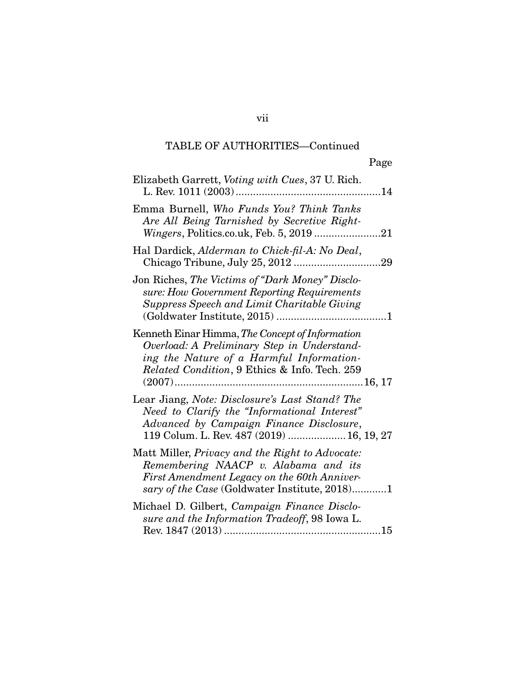| Elizabeth Garrett, Voting with Cues, 37 U. Rich.                                                                                                                                                    |            |
|-----------------------------------------------------------------------------------------------------------------------------------------------------------------------------------------------------|------------|
| Emma Burnell, Who Funds You? Think Tanks<br>Are All Being Tarnished by Secretive Right-                                                                                                             |            |
| Hal Dardick, Alderman to Chick-fil-A: No Deal,                                                                                                                                                      | $\dots 29$ |
| Jon Riches, The Victims of "Dark Money" Disclo-<br>sure: How Government Reporting Requirements<br><b>Suppress Speech and Limit Charitable Giving</b>                                                |            |
| Kenneth Einar Himma, The Concept of Information<br>Overload: A Preliminary Step in Understand-<br>ing the Nature of a Harmful Information-<br><i>Related Condition</i> , 9 Ethics & Info. Tech. 259 |            |
| Lear Jiang, Note: Disclosure's Last Stand? The<br>Need to Clarify the "Informational Interest"<br>Advanced by Campaign Finance Disclosure,<br>119 Colum. L. Rev. 487 (2019)  16, 19, 27             |            |
| Matt Miller, Privacy and the Right to Advocate:<br>Remembering NAACP v. Alabama and its<br>First Amendment Legacy on the 60th Anniver-<br>sary of the Case (Goldwater Institute, 2018)1             |            |
| Michael D. Gilbert, Campaign Finance Disclo-<br>sure and the Information Tradeoff, 98 Iowa L.                                                                                                       |            |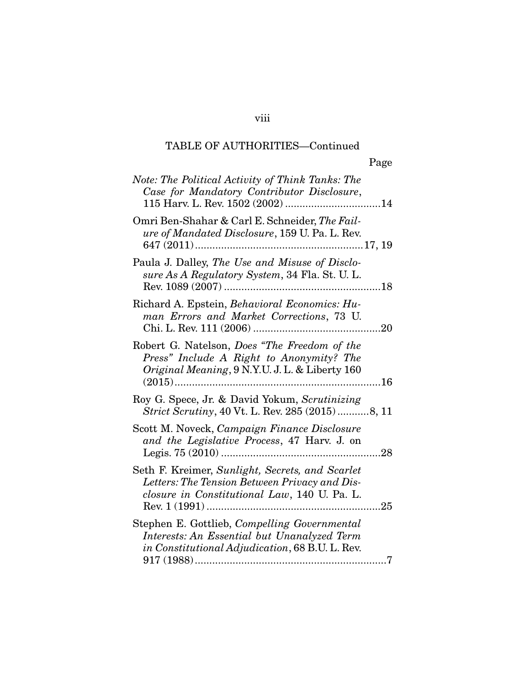viii

| Note: The Political Activity of Think Tanks: The<br>Case for Mandatory Contributor Disclosure,                                                   |
|--------------------------------------------------------------------------------------------------------------------------------------------------|
| Omri Ben-Shahar & Carl E. Schneider, The Fail-<br>ure of Mandated Disclosure, 159 U. Pa. L. Rev.                                                 |
| Paula J. Dalley, The Use and Misuse of Disclo-<br>sure As A Regulatory System, 34 Fla. St. U. L.                                                 |
| Richard A. Epstein, Behavioral Economics: Hu-<br>man Errors and Market Corrections, 73 U.                                                        |
| Robert G. Natelson, Does "The Freedom of the<br>Press" Include A Right to Anonymity? The<br>Original Meaning, 9 N.Y.U. J. L. & Liberty 160       |
| Roy G. Spece, Jr. & David Yokum, Scrutinizing<br>Strict Scrutiny, 40 Vt. L. Rev. 285 (2015)8, 11                                                 |
| Scott M. Noveck, Campaign Finance Disclosure<br>and the Legislative Process, 47 Harv. J. on                                                      |
| Seth F. Kreimer, Sunlight, Secrets, and Scarlet<br>Letters: The Tension Between Privacy and Dis-<br>closure in Constitutional Law, 140 U. Pa. L. |
| Stephen E. Gottlieb, Compelling Governmental<br>Interests: An Essential but Unanalyzed Term<br>in Constitutional Adjudication, 68 B.U. L. Rev.   |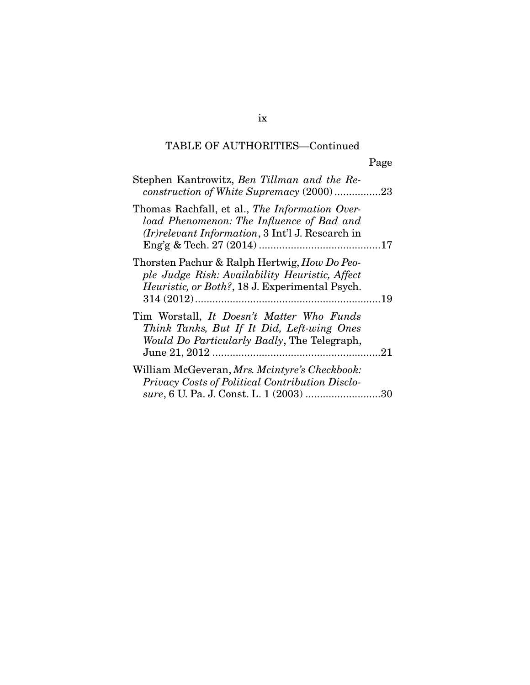| Stephen Kantrowitz, Ben Tillman and the Re-<br>construction of White Supremacy (2000)23                                                                 |  |
|---------------------------------------------------------------------------------------------------------------------------------------------------------|--|
| Thomas Rachfall, et al., The Information Over-<br>load Phenomenon: The Influence of Bad and<br>(Ir) relevant Information, 3 Int'l J. Research in        |  |
| Thorsten Pachur & Ralph Hertwig, How Do Peo-<br>ple Judge Risk: Availability Heuristic, Affect<br><i>Heuristic, or Both?, 18 J. Experimental Psych.</i> |  |
| Tim Worstall, It Doesn't Matter Who Funds<br>Think Tanks, But If It Did, Left-wing Ones<br>Would Do Particularly Badly, The Telegraph,                  |  |
| William McGeveran, Mrs. Mcintyre's Checkbook:<br>Privacy Costs of Political Contribution Disclo-<br>sure, 6 U. Pa. J. Const. L. 1 (2003) 30             |  |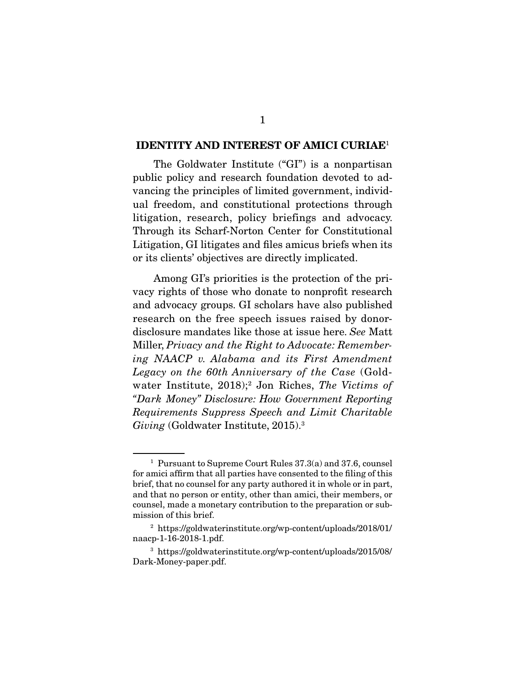#### **IDENTITY AND INTEREST OF AMICI CURIAE**<sup>1</sup>

 The Goldwater Institute ("GI") is a nonpartisan public policy and research foundation devoted to advancing the principles of limited government, individual freedom, and constitutional protections through litigation, research, policy briefings and advocacy. Through its Scharf-Norton Center for Constitutional Litigation, GI litigates and files amicus briefs when its or its clients' objectives are directly implicated.

 Among GI's priorities is the protection of the privacy rights of those who donate to nonprofit research and advocacy groups. GI scholars have also published research on the free speech issues raised by donordisclosure mandates like those at issue here. See Matt Miller, Privacy and the Right to Advocate: Remembering NAACP v. Alabama and its First Amendment Legacy on the 60th Anniversary of the Case (Goldwater Institute, 2018);<sup>2</sup> Jon Riches, The Victims of "Dark Money" Disclosure: How Government Reporting Requirements Suppress Speech and Limit Charitable Giving (Goldwater Institute, 2015).<sup>3</sup>

<sup>1</sup> Pursuant to Supreme Court Rules 37.3(a) and 37.6, counsel for amici affirm that all parties have consented to the filing of this brief, that no counsel for any party authored it in whole or in part, and that no person or entity, other than amici, their members, or counsel, made a monetary contribution to the preparation or submission of this brief.

<sup>2</sup> https://goldwaterinstitute.org/wp-content/uploads/2018/01/ naacp-1-16-2018-1.pdf.

<sup>3</sup> https://goldwaterinstitute.org/wp-content/uploads/2015/08/ Dark-Money-paper.pdf.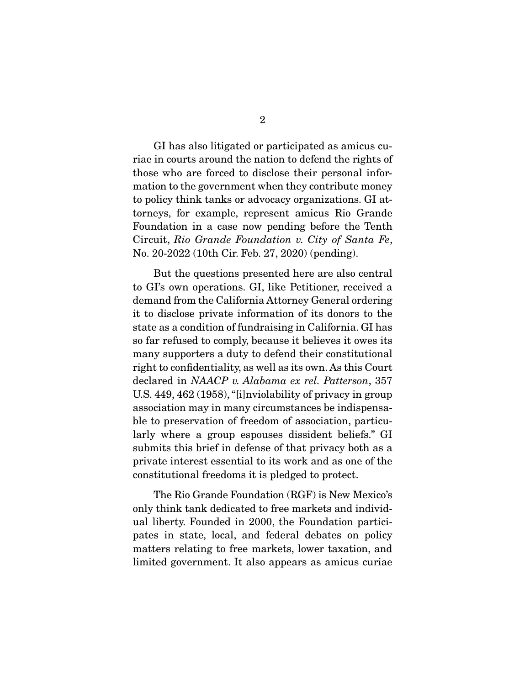2

 GI has also litigated or participated as amicus curiae in courts around the nation to defend the rights of those who are forced to disclose their personal information to the government when they contribute money to policy think tanks or advocacy organizations. GI attorneys, for example, represent amicus Rio Grande Foundation in a case now pending before the Tenth Circuit, Rio Grande Foundation v. City of Santa Fe, No. 20-2022 (10th Cir. Feb. 27, 2020) (pending).

 But the questions presented here are also central to GI's own operations. GI, like Petitioner, received a demand from the California Attorney General ordering it to disclose private information of its donors to the state as a condition of fundraising in California. GI has so far refused to comply, because it believes it owes its many supporters a duty to defend their constitutional right to confidentiality, as well as its own. As this Court declared in NAACP v. Alabama ex rel. Patterson, 357 U.S. 449, 462 (1958), "[i]nviolability of privacy in group association may in many circumstances be indispensable to preservation of freedom of association, particularly where a group espouses dissident beliefs." GI submits this brief in defense of that privacy both as a private interest essential to its work and as one of the constitutional freedoms it is pledged to protect.

 The Rio Grande Foundation (RGF) is New Mexico's only think tank dedicated to free markets and individual liberty. Founded in 2000, the Foundation participates in state, local, and federal debates on policy matters relating to free markets, lower taxation, and limited government. It also appears as amicus curiae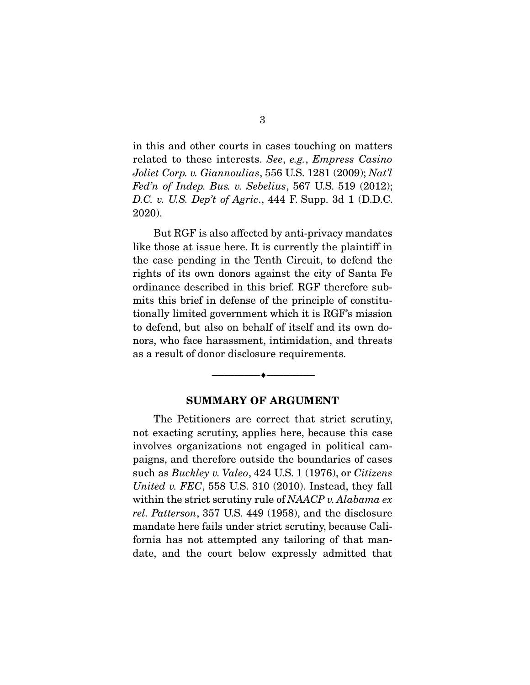in this and other courts in cases touching on matters related to these interests. See, e.g., Empress Casino Joliet Corp. v. Giannoulias, 556 U.S. 1281 (2009); Nat'l Fed'n of Indep. Bus. v. Sebelius, 567 U.S. 519  $(2012)$ ; D.C. v. U.S. Dep't of Agric., 444 F. Supp. 3d 1 (D.D.C. 2020).

 But RGF is also affected by anti-privacy mandates like those at issue here. It is currently the plaintiff in the case pending in the Tenth Circuit, to defend the rights of its own donors against the city of Santa Fe ordinance described in this brief. RGF therefore submits this brief in defense of the principle of constitutionally limited government which it is RGF's mission to defend, but also on behalf of itself and its own donors, who face harassment, intimidation, and threats as a result of donor disclosure requirements.

#### **SUMMARY OF ARGUMENT**

--------------------------------- ♦ ---------------------------------

 The Petitioners are correct that strict scrutiny, not exacting scrutiny, applies here, because this case involves organizations not engaged in political campaigns, and therefore outside the boundaries of cases such as *Buckley v. Valeo*, 424 U.S. 1 (1976), or *Citizens* United v. FEC, 558 U.S. 310  $(2010)$ . Instead, they fall within the strict scrutiny rule of NAACP v. Alabama ex rel. Patterson, 357 U.S. 449 (1958), and the disclosure mandate here fails under strict scrutiny, because California has not attempted any tailoring of that mandate, and the court below expressly admitted that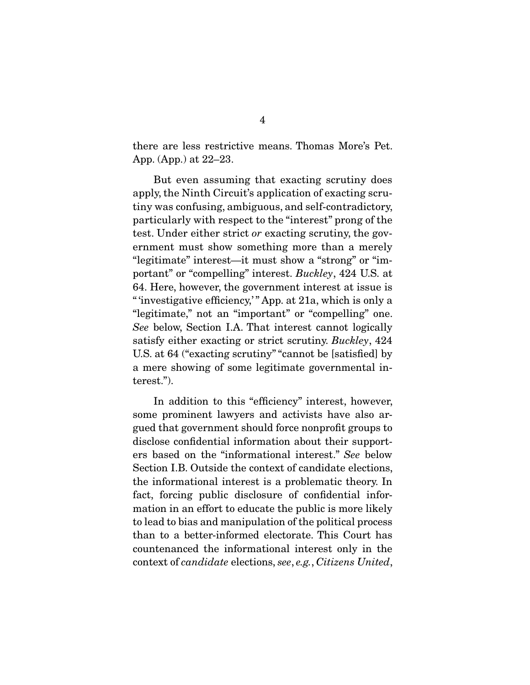there are less restrictive means. Thomas More's Pet. App. (App.) at 22–23.

 But even assuming that exacting scrutiny does apply, the Ninth Circuit's application of exacting scrutiny was confusing, ambiguous, and self-contradictory, particularly with respect to the "interest" prong of the test. Under either strict or exacting scrutiny, the government must show something more than a merely "legitimate" interest—it must show a "strong" or "important" or "compelling" interest. Buckley, 424 U.S. at 64. Here, however, the government interest at issue is " 'investigative efficiency,'" App. at 21a, which is only a "legitimate," not an "important" or "compelling" one. See below, Section I.A. That interest cannot logically satisfy either exacting or strict scrutiny. Buckley, 424 U.S. at 64 ("exacting scrutiny" "cannot be [satisfied] by a mere showing of some legitimate governmental interest.").

 In addition to this "efficiency" interest, however, some prominent lawyers and activists have also argued that government should force nonprofit groups to disclose confidential information about their supporters based on the "informational interest." See below Section I.B. Outside the context of candidate elections, the informational interest is a problematic theory. In fact, forcing public disclosure of confidential information in an effort to educate the public is more likely to lead to bias and manipulation of the political process than to a better-informed electorate. This Court has countenanced the informational interest only in the context of candidate elections, see, e.g., Citizens United,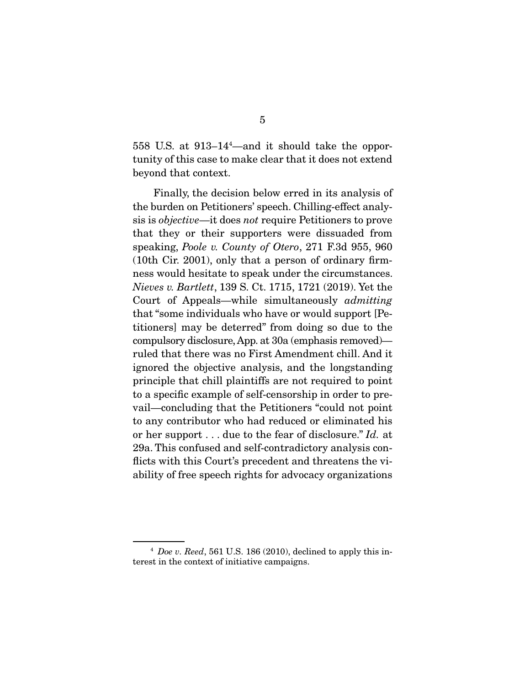558 U.S. at 913–144 —and it should take the opportunity of this case to make clear that it does not extend beyond that context.

 Finally, the decision below erred in its analysis of the burden on Petitioners' speech. Chilling-effect analysis is objective—it does not require Petitioners to prove that they or their supporters were dissuaded from speaking, Poole v. County of Otero, 271 F.3d 955, 960 (10th Cir. 2001), only that a person of ordinary firmness would hesitate to speak under the circumstances. Nieves v. Bartlett, 139 S. Ct. 1715, 1721 (2019). Yet the Court of Appeals—while simultaneously admitting that "some individuals who have or would support [Petitioners] may be deterred" from doing so due to the compulsory disclosure, App. at 30a (emphasis removed) ruled that there was no First Amendment chill. And it ignored the objective analysis, and the longstanding principle that chill plaintiffs are not required to point to a specific example of self-censorship in order to prevail—concluding that the Petitioners "could not point to any contributor who had reduced or eliminated his or her support . . . due to the fear of disclosure." Id. at 29a. This confused and self-contradictory analysis conflicts with this Court's precedent and threatens the viability of free speech rights for advocacy organizations

 $4$  Doe v. Reed, 561 U.S. 186 (2010), declined to apply this interest in the context of initiative campaigns.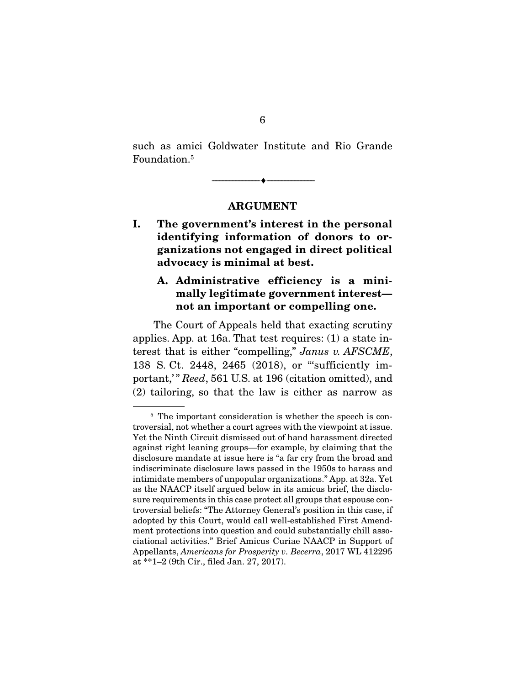such as amici Goldwater Institute and Rio Grande Foundation.5

**ARGUMENT** 

--------------------------------- ♦ ---------------------------------

**I. The government's interest in the personal identifying information of donors to organizations not engaged in direct political advocacy is minimal at best.** 

## **A. Administrative efficiency is a minimally legitimate government interest not an important or compelling one.**

 The Court of Appeals held that exacting scrutiny applies. App. at 16a. That test requires: (1) a state interest that is either "compelling," Janus v. AFSCME, 138 S. Ct. 2448, 2465 (2018), or "'sufficiently important," Reed, 561 U.S. at 196 (citation omitted), and (2) tailoring, so that the law is either as narrow as

<sup>&</sup>lt;sup>5</sup> The important consideration is whether the speech is controversial, not whether a court agrees with the viewpoint at issue. Yet the Ninth Circuit dismissed out of hand harassment directed against right leaning groups—for example, by claiming that the disclosure mandate at issue here is "a far cry from the broad and indiscriminate disclosure laws passed in the 1950s to harass and intimidate members of unpopular organizations." App. at 32a. Yet as the NAACP itself argued below in its amicus brief, the disclosure requirements in this case protect all groups that espouse controversial beliefs: "The Attorney General's position in this case, if adopted by this Court, would call well-established First Amendment protections into question and could substantially chill associational activities." Brief Amicus Curiae NAACP in Support of Appellants, Americans for Prosperity v. Becerra, 2017 WL 412295 at \*\*1–2 (9th Cir., filed Jan. 27, 2017).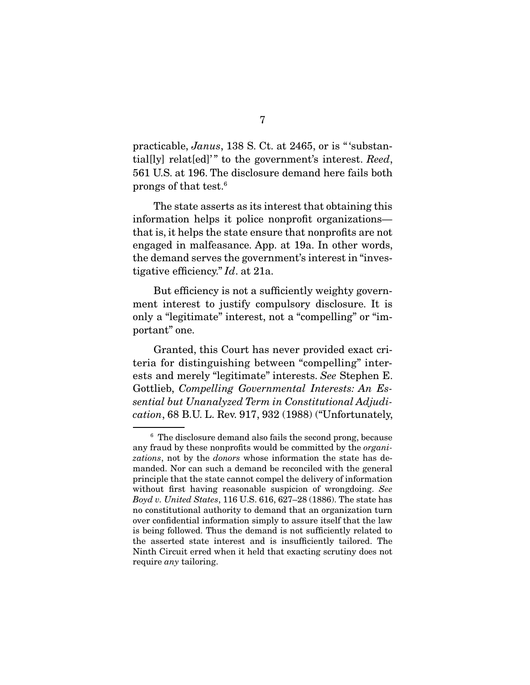practicable, Janus, 138 S. Ct. at 2465, or is "'substantial[ly] relat[ed]'" to the government's interest. Reed, 561 U.S. at 196. The disclosure demand here fails both prongs of that test.6

 The state asserts as its interest that obtaining this information helps it police nonprofit organizations that is, it helps the state ensure that nonprofits are not engaged in malfeasance. App. at 19a. In other words, the demand serves the government's interest in "investigative efficiency." Id. at 21a.

 But efficiency is not a sufficiently weighty government interest to justify compulsory disclosure. It is only a "legitimate" interest, not a "compelling" or "important" one.

 Granted, this Court has never provided exact criteria for distinguishing between "compelling" interests and merely "legitimate" interests. See Stephen E. Gottlieb, Compelling Governmental Interests: An Essential but Unanalyzed Term in Constitutional Adjudication, 68 B.U. L. Rev. 917, 932 (1988) ("Unfortunately,

<sup>6</sup> The disclosure demand also fails the second prong, because any fraud by these nonprofits would be committed by the organizations, not by the *donors* whose information the state has demanded. Nor can such a demand be reconciled with the general principle that the state cannot compel the delivery of information without first having reasonable suspicion of wrongdoing. See Boyd v. United States, 116 U.S. 616, 627–28 (1886). The state has no constitutional authority to demand that an organization turn over confidential information simply to assure itself that the law is being followed. Thus the demand is not sufficiently related to the asserted state interest and is insufficiently tailored. The Ninth Circuit erred when it held that exacting scrutiny does not require *any* tailoring.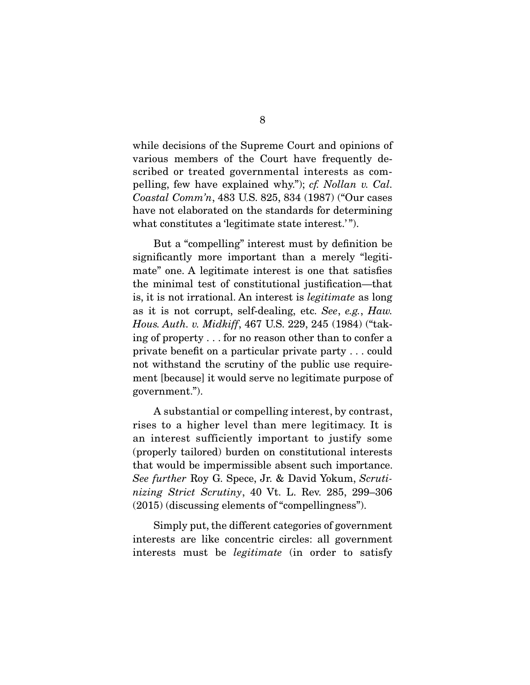while decisions of the Supreme Court and opinions of various members of the Court have frequently described or treated governmental interests as compelling, few have explained why."); cf. Nollan v. Cal. Coastal Comm'n, 483 U.S. 825, 834 (1987) ("Our cases have not elaborated on the standards for determining what constitutes a 'legitimate state interest.'".

 But a "compelling" interest must by definition be significantly more important than a merely "legitimate" one. A legitimate interest is one that satisfies the minimal test of constitutional justification—that is, it is not irrational. An interest is legitimate as long as it is not corrupt, self-dealing, etc. See, e.g., Haw. Hous. Auth. v. Midkiff, 467 U.S. 229, 245 (1984) ("taking of property . . . for no reason other than to confer a private benefit on a particular private party . . . could not withstand the scrutiny of the public use requirement [because] it would serve no legitimate purpose of government.").

 A substantial or compelling interest, by contrast, rises to a higher level than mere legitimacy. It is an interest sufficiently important to justify some (properly tailored) burden on constitutional interests that would be impermissible absent such importance. See further Roy G. Spece, Jr. & David Yokum, Scrutinizing Strict Scrutiny, 40 Vt. L. Rev. 285, 299–306 (2015) (discussing elements of "compellingness").

 Simply put, the different categories of government interests are like concentric circles: all government interests must be legitimate (in order to satisfy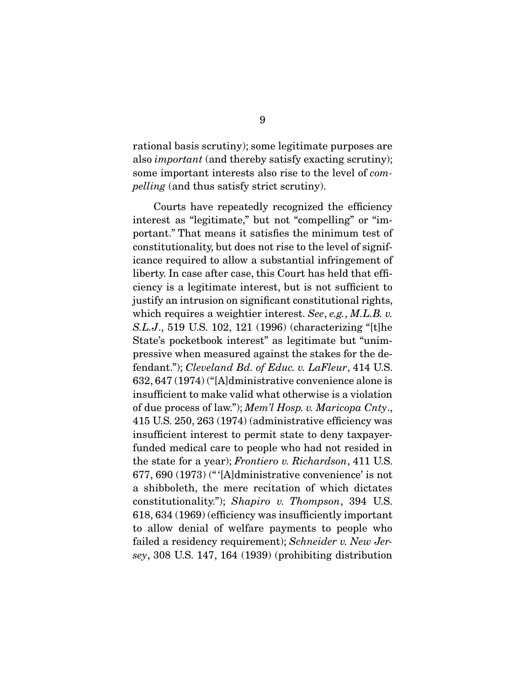rational basis scrutiny); some legitimate purposes are also important (and thereby satisfy exacting scrutiny); some important interests also rise to the level of compelling (and thus satisfy strict scrutiny).

 Courts have repeatedly recognized the efficiency interest as "legitimate," but not "compelling" or "important." That means it satisfies the minimum test of constitutionality, but does not rise to the level of significance required to allow a substantial infringement of liberty. In case after case, this Court has held that efficiency is a legitimate interest, but is not sufficient to justify an intrusion on significant constitutional rights, which requires a weightier interest. See, e.g., M.L.B. v. S.L.J., 519 U.S. 102, 121 (1996) (characterizing "[t]he State's pocketbook interest" as legitimate but "unimpressive when measured against the stakes for the defendant."); Cleveland Bd. of Educ. v. LaFleur, 414 U.S. 632, 647 (1974) ("[A]dministrative convenience alone is insufficient to make valid what otherwise is a violation of due process of law."); Mem'l Hosp. v. Maricopa Cnty., 415 U.S. 250, 263 (1974) (administrative efficiency was insufficient interest to permit state to deny taxpayerfunded medical care to people who had not resided in the state for a year); Frontiero v. Richardson, 411 U.S. 677, 690 (1973) (" '[A]dministrative convenience' is not a shibboleth, the mere recitation of which dictates constitutionality."); Shapiro v. Thompson, 394 U.S. 618, 634 (1969) (efficiency was insufficiently important to allow denial of welfare payments to people who failed a residency requirement); Schneider v. New Jersey, 308 U.S. 147, 164 (1939) (prohibiting distribution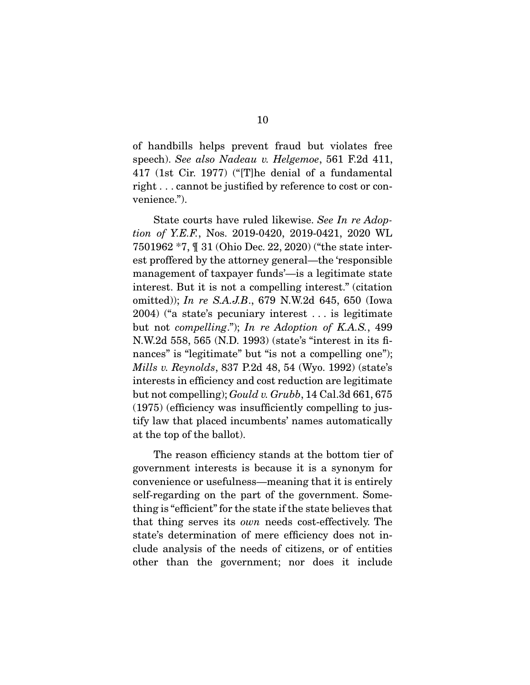of handbills helps prevent fraud but violates free speech). See also Nadeau v. Helgemoe, 561 F.2d 411, 417 (1st Cir. 1977) ("[T]he denial of a fundamental right . . . cannot be justified by reference to cost or convenience.").

 State courts have ruled likewise. See In re Adoption of Y.E.F., Nos. 2019-0420, 2019-0421, 2020 WL 7501962 \*7, ¶ 31 (Ohio Dec. 22, 2020) ("the state interest proffered by the attorney general—the 'responsible management of taxpayer funds'—is a legitimate state interest. But it is not a compelling interest." (citation omitted)); In re S.A.J.B., 679 N.W.2d 645, 650 (Iowa 2004) ("a state's pecuniary interest . . . is legitimate but not compelling."); In re Adoption of K.A.S., 499 N.W.2d 558, 565 (N.D. 1993) (state's "interest in its finances" is "legitimate" but "is not a compelling one"); Mills v. Reynolds, 837 P.2d 48, 54 (Wyo. 1992) (state's interests in efficiency and cost reduction are legitimate but not compelling); Gould v. Grubb, 14 Cal.3d 661, 675 (1975) (efficiency was insufficiently compelling to justify law that placed incumbents' names automatically at the top of the ballot).

 The reason efficiency stands at the bottom tier of government interests is because it is a synonym for convenience or usefulness—meaning that it is entirely self-regarding on the part of the government. Something is "efficient" for the state if the state believes that that thing serves its own needs cost-effectively. The state's determination of mere efficiency does not include analysis of the needs of citizens, or of entities other than the government; nor does it include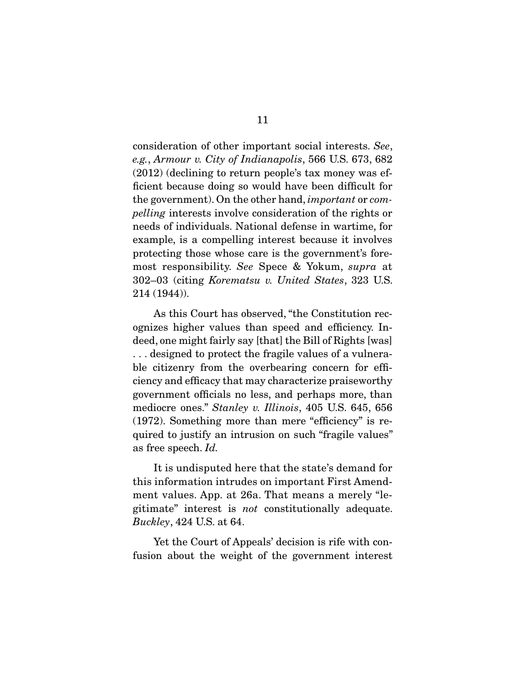consideration of other important social interests. See, e.g., Armour v. City of Indianapolis, 566 U.S. 673, 682 (2012) (declining to return people's tax money was efficient because doing so would have been difficult for the government). On the other hand, important or compelling interests involve consideration of the rights or needs of individuals. National defense in wartime, for example, is a compelling interest because it involves protecting those whose care is the government's foremost responsibility. See Spece & Yokum, supra at 302–03 (citing Korematsu v. United States, 323 U.S. 214 (1944)).

 As this Court has observed, "the Constitution recognizes higher values than speed and efficiency. Indeed, one might fairly say [that] the Bill of Rights [was] . . . designed to protect the fragile values of a vulnerable citizenry from the overbearing concern for efficiency and efficacy that may characterize praiseworthy government officials no less, and perhaps more, than mediocre ones." Stanley v. Illinois, 405 U.S. 645, 656 (1972). Something more than mere "efficiency" is required to justify an intrusion on such "fragile values" as free speech. Id.

 It is undisputed here that the state's demand for this information intrudes on important First Amendment values. App. at 26a. That means a merely "legitimate" interest is not constitutionally adequate. Buckley, 424 U.S. at 64.

 Yet the Court of Appeals' decision is rife with confusion about the weight of the government interest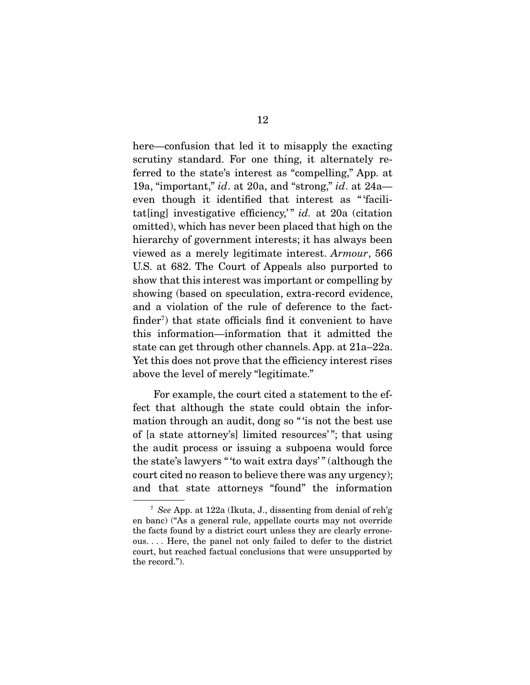here—confusion that led it to misapply the exacting scrutiny standard. For one thing, it alternately referred to the state's interest as "compelling," App. at 19a, "important," id. at 20a, and "strong," id. at 24a even though it identified that interest as " 'facilitat[ing] investigative efficiency," id. at 20a (citation omitted), which has never been placed that high on the hierarchy of government interests; it has always been viewed as a merely legitimate interest. Armour, 566 U.S. at 682. The Court of Appeals also purported to show that this interest was important or compelling by showing (based on speculation, extra-record evidence, and a violation of the rule of deference to the factfinder<sup>7</sup>) that state officials find it convenient to have this information—information that it admitted the state can get through other channels. App. at 21a–22a. Yet this does not prove that the efficiency interest rises above the level of merely "legitimate."

 For example, the court cited a statement to the effect that although the state could obtain the information through an audit, dong so " 'is not the best use of [a state attorney's] limited resources' "; that using the audit process or issuing a subpoena would force the state's lawyers " 'to wait extra days' " (although the court cited no reason to believe there was any urgency); and that state attorneys "found" the information

<sup>&</sup>lt;sup>7</sup> See App. at 122a (Ikuta, J., dissenting from denial of reh'g en banc) ("As a general rule, appellate courts may not override the facts found by a district court unless they are clearly erroneous. . . . Here, the panel not only failed to defer to the district court, but reached factual conclusions that were unsupported by the record.").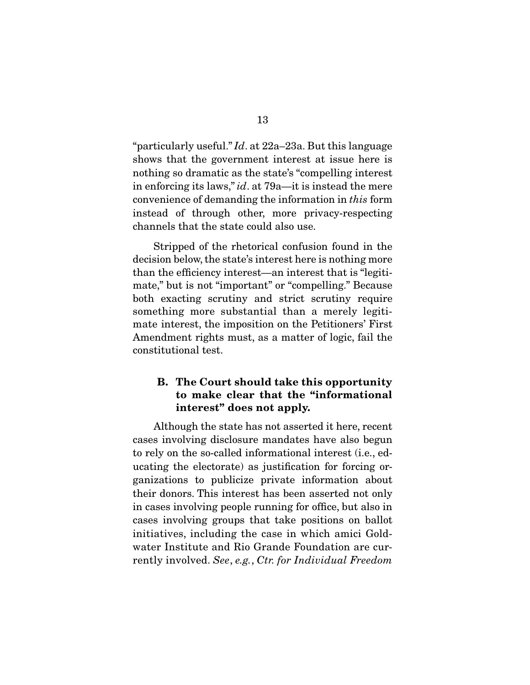"particularly useful."  $Id$ . at 22a–23a. But this language shows that the government interest at issue here is nothing so dramatic as the state's "compelling interest in enforcing its laws," id. at 79a—it is instead the mere convenience of demanding the information in this form instead of through other, more privacy-respecting channels that the state could also use.

 Stripped of the rhetorical confusion found in the decision below, the state's interest here is nothing more than the efficiency interest—an interest that is "legitimate," but is not "important" or "compelling." Because both exacting scrutiny and strict scrutiny require something more substantial than a merely legitimate interest, the imposition on the Petitioners' First Amendment rights must, as a matter of logic, fail the constitutional test.

### **B. The Court should take this opportunity to make clear that the "informational interest" does not apply.**

 Although the state has not asserted it here, recent cases involving disclosure mandates have also begun to rely on the so-called informational interest (i.e., educating the electorate) as justification for forcing organizations to publicize private information about their donors. This interest has been asserted not only in cases involving people running for office, but also in cases involving groups that take positions on ballot initiatives, including the case in which amici Goldwater Institute and Rio Grande Foundation are currently involved. See, e.g., Ctr. for Individual Freedom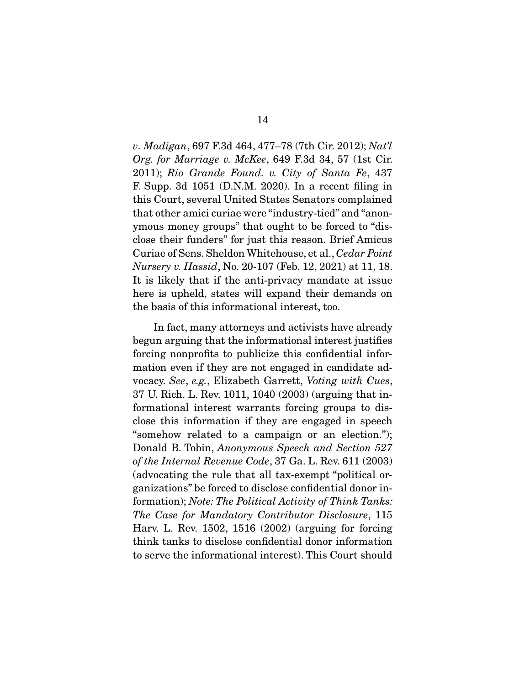v. Madigan, 697 F.3d 464, 477–78 (7th Cir. 2012); Nat'l Org. for Marriage v. McKee, 649 F.3d 34, 57 (1st Cir. 2011); Rio Grande Found. v. City of Santa Fe, 437 F. Supp. 3d 1051 (D.N.M. 2020). In a recent filing in this Court, several United States Senators complained that other amici curiae were "industry-tied" and "anonymous money groups" that ought to be forced to "disclose their funders" for just this reason. Brief Amicus Curiae of Sens. Sheldon Whitehouse, et al., Cedar Point Nursery v. Hassid, No. 20-107 (Feb. 12, 2021) at 11, 18. It is likely that if the anti-privacy mandate at issue here is upheld, states will expand their demands on the basis of this informational interest, too.

 In fact, many attorneys and activists have already begun arguing that the informational interest justifies forcing nonprofits to publicize this confidential information even if they are not engaged in candidate advocacy. See, e.g., Elizabeth Garrett, Voting with Cues, 37 U. Rich. L. Rev. 1011, 1040 (2003) (arguing that informational interest warrants forcing groups to disclose this information if they are engaged in speech "somehow related to a campaign or an election."); Donald B. Tobin, Anonymous Speech and Section 527 of the Internal Revenue Code, 37 Ga. L. Rev. 611 (2003) (advocating the rule that all tax-exempt "political organizations" be forced to disclose confidential donor information); Note: The Political Activity of Think Tanks: The Case for Mandatory Contributor Disclosure, 115 Harv. L. Rev. 1502, 1516 (2002) (arguing for forcing think tanks to disclose confidential donor information to serve the informational interest). This Court should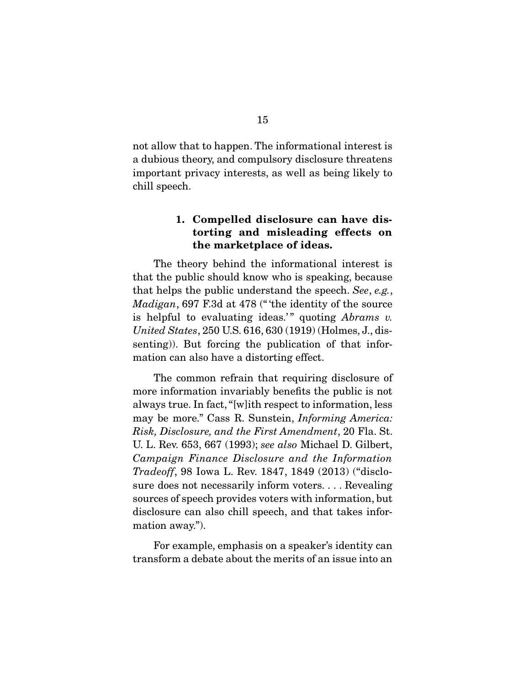not allow that to happen. The informational interest is a dubious theory, and compulsory disclosure threatens important privacy interests, as well as being likely to chill speech.

#### **1. Compelled disclosure can have distorting and misleading effects on the marketplace of ideas.**

 The theory behind the informational interest is that the public should know who is speaking, because that helps the public understand the speech. See, e.g., Madigan, 697 F.3d at 478 ("the identity of the source is helpful to evaluating ideas." quoting  $Abrams$  v. United States, 250 U.S. 616, 630 (1919) (Holmes, J., dissenting)). But forcing the publication of that information can also have a distorting effect.

 The common refrain that requiring disclosure of more information invariably benefits the public is not always true. In fact, "[w]ith respect to information, less may be more." Cass R. Sunstein, Informing America: Risk, Disclosure, and the First Amendment, 20 Fla. St. U. L. Rev. 653, 667 (1993); see also Michael D. Gilbert, Campaign Finance Disclosure and the Information Tradeoff, 98 Iowa L. Rev. 1847, 1849 (2013) ("disclosure does not necessarily inform voters. . . . Revealing sources of speech provides voters with information, but disclosure can also chill speech, and that takes information away.").

 For example, emphasis on a speaker's identity can transform a debate about the merits of an issue into an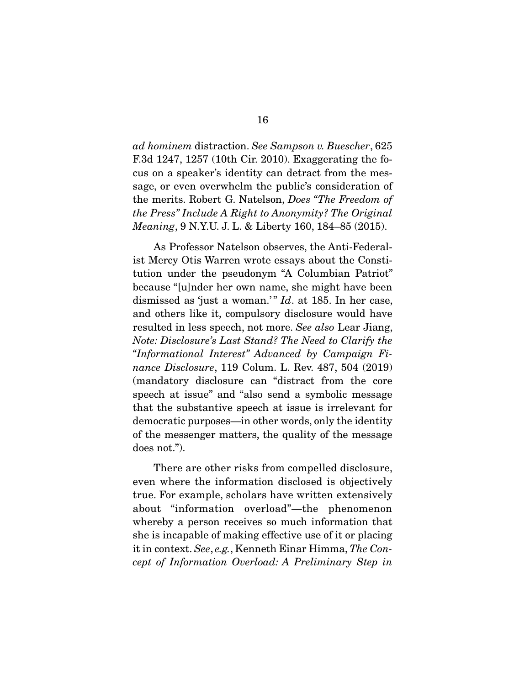ad hominem distraction. See Sampson v. Buescher, 625 F.3d 1247, 1257 (10th Cir. 2010). Exaggerating the focus on a speaker's identity can detract from the message, or even overwhelm the public's consideration of the merits. Robert G. Natelson, Does "The Freedom of the Press" Include A Right to Anonymity? The Original Meaning, 9 N.Y.U. J. L. & Liberty 160, 184–85 (2015).

 As Professor Natelson observes, the Anti-Federalist Mercy Otis Warren wrote essays about the Constitution under the pseudonym "A Columbian Patriot" because "[u]nder her own name, she might have been dismissed as 'just a woman.'"  $Id.$  at 185. In her case, and others like it, compulsory disclosure would have resulted in less speech, not more. See also Lear Jiang, Note: Disclosure's Last Stand? The Need to Clarify the "Informational Interest" Advanced by Campaign Finance Disclosure, 119 Colum. L. Rev. 487, 504 (2019) (mandatory disclosure can "distract from the core speech at issue" and "also send a symbolic message that the substantive speech at issue is irrelevant for democratic purposes—in other words, only the identity of the messenger matters, the quality of the message does not.").

 There are other risks from compelled disclosure, even where the information disclosed is objectively true. For example, scholars have written extensively about "information overload"—the phenomenon whereby a person receives so much information that she is incapable of making effective use of it or placing it in context. See, e.g., Kenneth Einar Himma, The Concept of Information Overload: A Preliminary Step in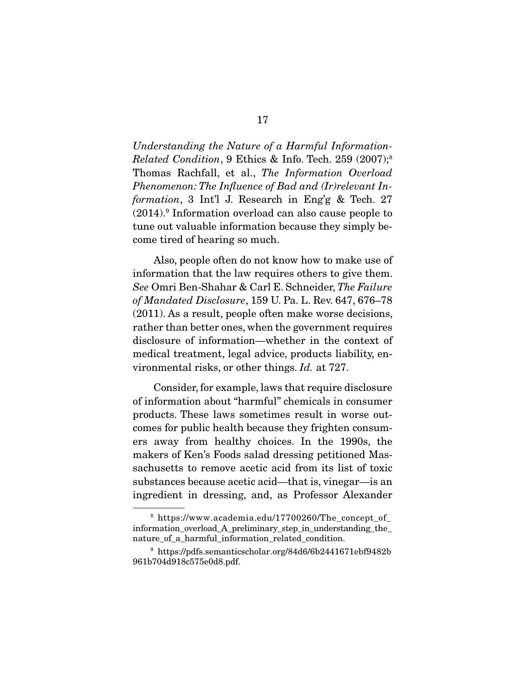Understanding the Nature of a Harmful Information-Related Condition, 9 Ethics & Info. Tech. 259 (2007);<sup>8</sup> Thomas Rachfall, et al., The Information Overload Phenomenon: The Influence of Bad and (Ir)relevant Information, 3 Int'l J. Research in Eng'g & Tech. 27 (2014).9 Information overload can also cause people to tune out valuable information because they simply become tired of hearing so much.

 Also, people often do not know how to make use of information that the law requires others to give them. See Omri Ben-Shahar & Carl E. Schneider, The Failure of Mandated Disclosure, 159 U. Pa. L. Rev. 647, 676–78 (2011). As a result, people often make worse decisions, rather than better ones, when the government requires disclosure of information—whether in the context of medical treatment, legal advice, products liability, environmental risks, or other things. Id. at 727.

 Consider, for example, laws that require disclosure of information about "harmful" chemicals in consumer products. These laws sometimes result in worse outcomes for public health because they frighten consumers away from healthy choices. In the 1990s, the makers of Ken's Foods salad dressing petitioned Massachusetts to remove acetic acid from its list of toxic substances because acetic acid—that is, vinegar—is an ingredient in dressing, and, as Professor Alexander

<sup>&</sup>lt;sup>8</sup> https://www.academia.edu/17700260/The concept of information\_overload\_A\_preliminary\_step\_in\_understanding\_the\_ nature of a harmful information related condition.

<sup>9</sup> https://pdfs.semanticscholar.org/84d6/6b2441671ebf9482b 961b704d918c575e0d8.pdf.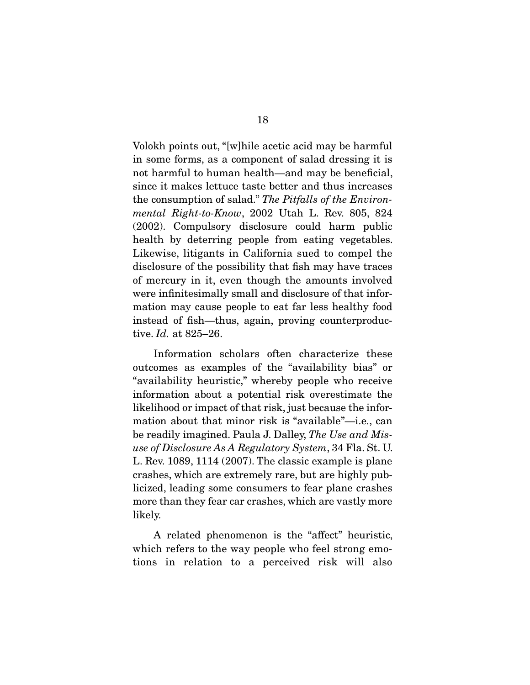Volokh points out, "[w]hile acetic acid may be harmful in some forms, as a component of salad dressing it is not harmful to human health—and may be beneficial, since it makes lettuce taste better and thus increases the consumption of salad." The Pitfalls of the Environmental Right-to-Know, 2002 Utah L. Rev. 805, 824 (2002). Compulsory disclosure could harm public health by deterring people from eating vegetables. Likewise, litigants in California sued to compel the disclosure of the possibility that fish may have traces of mercury in it, even though the amounts involved were infinitesimally small and disclosure of that information may cause people to eat far less healthy food instead of fish—thus, again, proving counterproductive. Id. at 825–26.

 Information scholars often characterize these outcomes as examples of the "availability bias" or "availability heuristic," whereby people who receive information about a potential risk overestimate the likelihood or impact of that risk, just because the information about that minor risk is "available"—i.e., can be readily imagined. Paula J. Dalley, The Use and Misuse of Disclosure As A Regulatory System, 34 Fla. St. U. L. Rev. 1089, 1114 (2007). The classic example is plane crashes, which are extremely rare, but are highly publicized, leading some consumers to fear plane crashes more than they fear car crashes, which are vastly more likely.

 A related phenomenon is the "affect" heuristic, which refers to the way people who feel strong emotions in relation to a perceived risk will also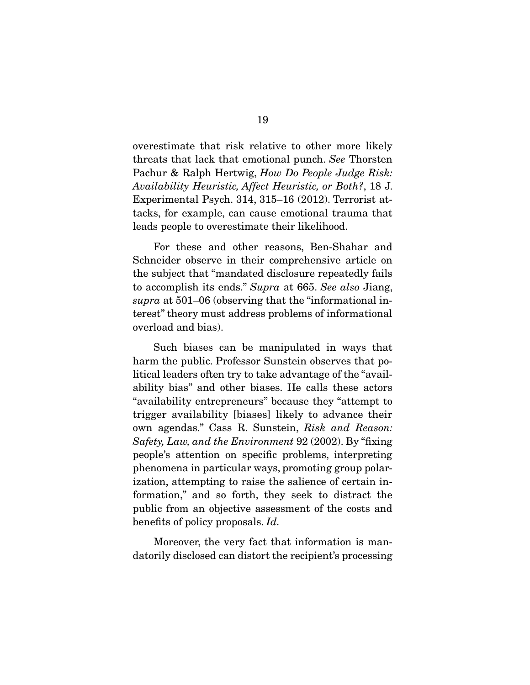overestimate that risk relative to other more likely threats that lack that emotional punch. See Thorsten Pachur & Ralph Hertwig, How Do People Judge Risk: Availability Heuristic, Affect Heuristic, or Both?, 18 J. Experimental Psych. 314, 315–16 (2012). Terrorist attacks, for example, can cause emotional trauma that leads people to overestimate their likelihood.

 For these and other reasons, Ben-Shahar and Schneider observe in their comprehensive article on the subject that "mandated disclosure repeatedly fails to accomplish its ends." Supra at 665. See also Jiang, supra at 501–06 (observing that the "informational interest" theory must address problems of informational overload and bias).

 Such biases can be manipulated in ways that harm the public. Professor Sunstein observes that political leaders often try to take advantage of the "availability bias" and other biases. He calls these actors "availability entrepreneurs" because they "attempt to trigger availability [biases] likely to advance their own agendas." Cass R. Sunstein, Risk and Reason: Safety, Law, and the Environment 92 (2002). By "fixing people's attention on specific problems, interpreting phenomena in particular ways, promoting group polarization, attempting to raise the salience of certain information," and so forth, they seek to distract the public from an objective assessment of the costs and benefits of policy proposals. Id.

 Moreover, the very fact that information is mandatorily disclosed can distort the recipient's processing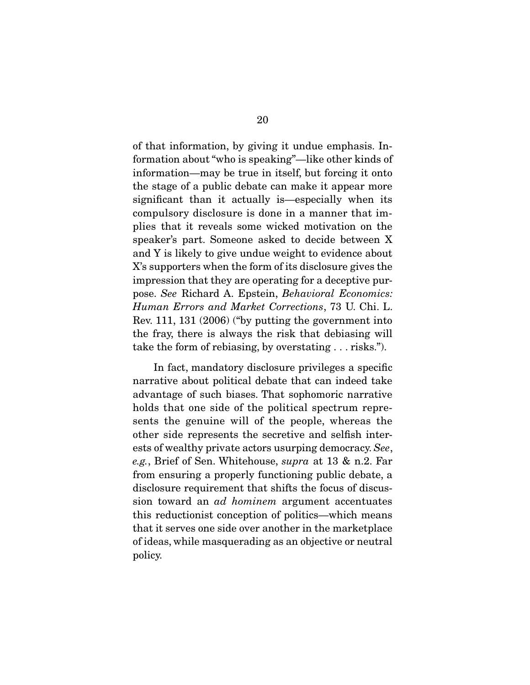of that information, by giving it undue emphasis. Information about "who is speaking"—like other kinds of information—may be true in itself, but forcing it onto the stage of a public debate can make it appear more significant than it actually is—especially when its compulsory disclosure is done in a manner that implies that it reveals some wicked motivation on the speaker's part. Someone asked to decide between X and Y is likely to give undue weight to evidence about X's supporters when the form of its disclosure gives the impression that they are operating for a deceptive purpose. See Richard A. Epstein, Behavioral Economics: Human Errors and Market Corrections, 73 U. Chi. L. Rev. 111, 131 (2006) ("by putting the government into the fray, there is always the risk that debiasing will take the form of rebiasing, by overstating . . . risks.").

 In fact, mandatory disclosure privileges a specific narrative about political debate that can indeed take advantage of such biases. That sophomoric narrative holds that one side of the political spectrum represents the genuine will of the people, whereas the other side represents the secretive and selfish interests of wealthy private actors usurping democracy. See, e.g., Brief of Sen. Whitehouse, supra at 13 & n.2. Far from ensuring a properly functioning public debate, a disclosure requirement that shifts the focus of discussion toward an ad hominem argument accentuates this reductionist conception of politics—which means that it serves one side over another in the marketplace of ideas, while masquerading as an objective or neutral policy.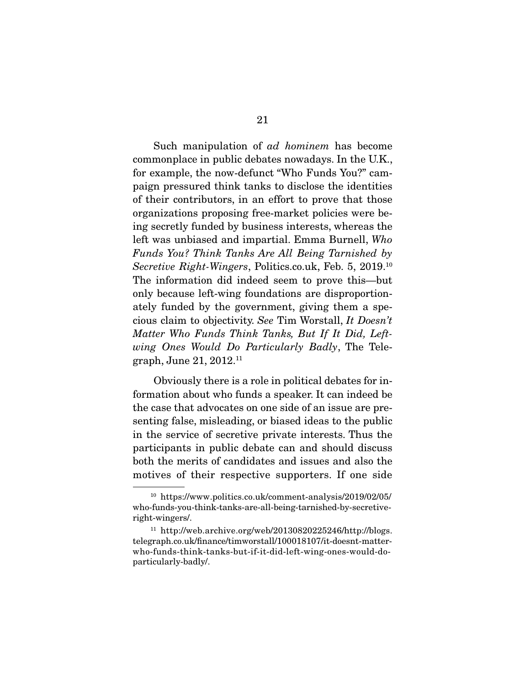Such manipulation of ad hominem has become commonplace in public debates nowadays. In the U.K., for example, the now-defunct "Who Funds You?" campaign pressured think tanks to disclose the identities of their contributors, in an effort to prove that those organizations proposing free-market policies were being secretly funded by business interests, whereas the left was unbiased and impartial. Emma Burnell, Who Funds You? Think Tanks Are All Being Tarnished by Secretive Right-Wingers, Politics.co.uk, Feb. 5, 2019.<sup>10</sup> The information did indeed seem to prove this—but only because left-wing foundations are disproportionately funded by the government, giving them a specious claim to objectivity. See Tim Worstall, It Doesn't Matter Who Funds Think Tanks, But If It Did, Leftwing Ones Would Do Particularly Badly, The Telegraph, June 21, 2012.11

 Obviously there is a role in political debates for information about who funds a speaker. It can indeed be the case that advocates on one side of an issue are presenting false, misleading, or biased ideas to the public in the service of secretive private interests. Thus the participants in public debate can and should discuss both the merits of candidates and issues and also the motives of their respective supporters. If one side

<sup>10</sup> https://www.politics.co.uk/comment-analysis/2019/02/05/ who-funds-you-think-tanks-are-all-being-tarnished-by-secretiveright-wingers/.

 $11$  http://web.archive.org/web/20130820225246/http://blogs. telegraph.co.uk/finance/timworstall/100018107/it-doesnt-matterwho-funds-think-tanks-but-if-it-did-left-wing-ones-would-doparticularly-badly/.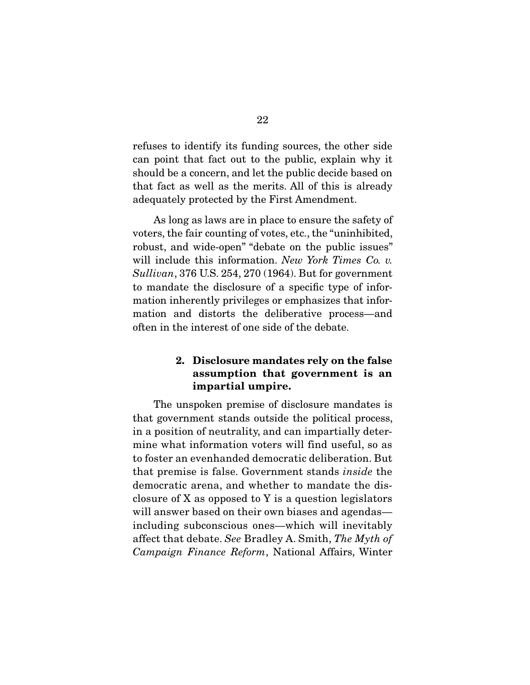refuses to identify its funding sources, the other side can point that fact out to the public, explain why it should be a concern, and let the public decide based on that fact as well as the merits. All of this is already adequately protected by the First Amendment.

 As long as laws are in place to ensure the safety of voters, the fair counting of votes, etc., the "uninhibited, robust, and wide-open" "debate on the public issues" will include this information. New York Times Co. v. Sullivan, 376 U.S. 254, 270 (1964). But for government to mandate the disclosure of a specific type of information inherently privileges or emphasizes that information and distorts the deliberative process—and often in the interest of one side of the debate.

#### **2. Disclosure mandates rely on the false assumption that government is an impartial umpire.**

 The unspoken premise of disclosure mandates is that government stands outside the political process, in a position of neutrality, and can impartially determine what information voters will find useful, so as to foster an evenhanded democratic deliberation. But that premise is false. Government stands inside the democratic arena, and whether to mandate the disclosure of X as opposed to Y is a question legislators will answer based on their own biases and agendas including subconscious ones—which will inevitably affect that debate. See Bradley A. Smith, The Myth of Campaign Finance Reform, National Affairs, Winter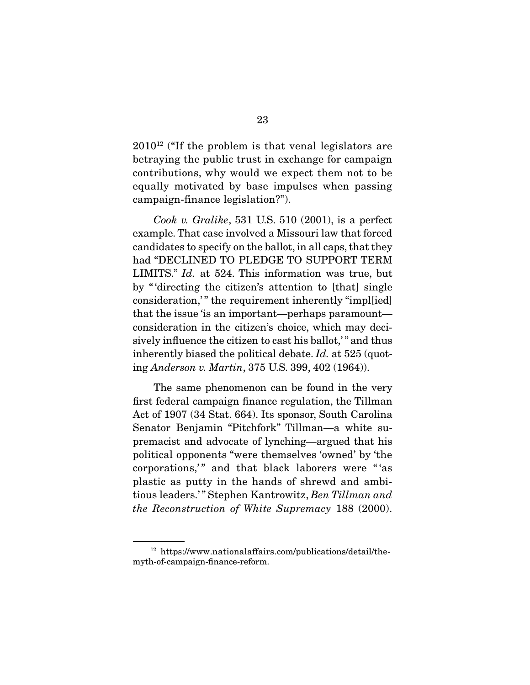$2010^{12}$  ("If the problem is that venal legislators are betraying the public trust in exchange for campaign contributions, why would we expect them not to be equally motivated by base impulses when passing campaign-finance legislation?").

Cook v. Gralike, 531 U.S. 510  $(2001)$ , is a perfect example. That case involved a Missouri law that forced candidates to specify on the ballot, in all caps, that they had "DECLINED TO PLEDGE TO SUPPORT TERM LIMITS." Id. at 524. This information was true, but by " 'directing the citizen's attention to [that] single consideration," the requirement inherently "impl[ied] that the issue 'is an important—perhaps paramount consideration in the citizen's choice, which may decisively influence the citizen to cast his ballot," and thus inherently biased the political debate. Id. at 525 (quoting Anderson v. Martin, 375 U.S. 399, 402 (1964)).

 The same phenomenon can be found in the very first federal campaign finance regulation, the Tillman Act of 1907 (34 Stat. 664). Its sponsor, South Carolina Senator Benjamin "Pitchfork" Tillman—a white supremacist and advocate of lynching—argued that his political opponents "were themselves 'owned' by 'the corporations," and that black laborers were "'as plastic as putty in the hands of shrewd and ambitious leaders.'" Stephen Kantrowitz, Ben Tillman and the Reconstruction of White Supremacy 188 (2000).

<sup>12</sup> https://www.nationalaffairs.com/publications/detail/themyth-of-campaign-finance-reform.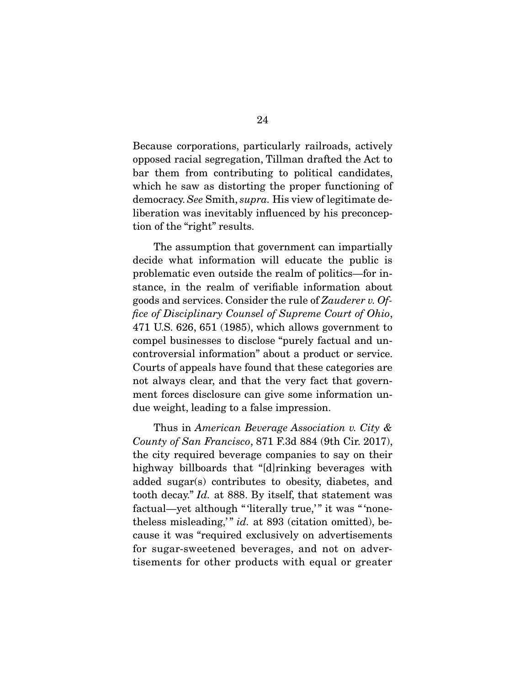Because corporations, particularly railroads, actively opposed racial segregation, Tillman drafted the Act to bar them from contributing to political candidates, which he saw as distorting the proper functioning of democracy. See Smith, supra. His view of legitimate deliberation was inevitably influenced by his preconception of the "right" results.

 The assumption that government can impartially decide what information will educate the public is problematic even outside the realm of politics—for instance, in the realm of verifiable information about goods and services. Consider the rule of Zauderer v. Office of Disciplinary Counsel of Supreme Court of Ohio, 471 U.S. 626, 651 (1985), which allows government to compel businesses to disclose "purely factual and uncontroversial information" about a product or service. Courts of appeals have found that these categories are not always clear, and that the very fact that government forces disclosure can give some information undue weight, leading to a false impression.

Thus in American Beverage Association v. City & County of San Francisco, 871 F.3d 884 (9th Cir. 2017), the city required beverage companies to say on their highway billboards that "[d]rinking beverages with added sugar(s) contributes to obesity, diabetes, and tooth decay." Id. at 888. By itself, that statement was factual—yet although " 'literally true,'" it was " 'nonetheless misleading," id. at  $893$  (citation omitted), because it was "required exclusively on advertisements for sugar-sweetened beverages, and not on advertisements for other products with equal or greater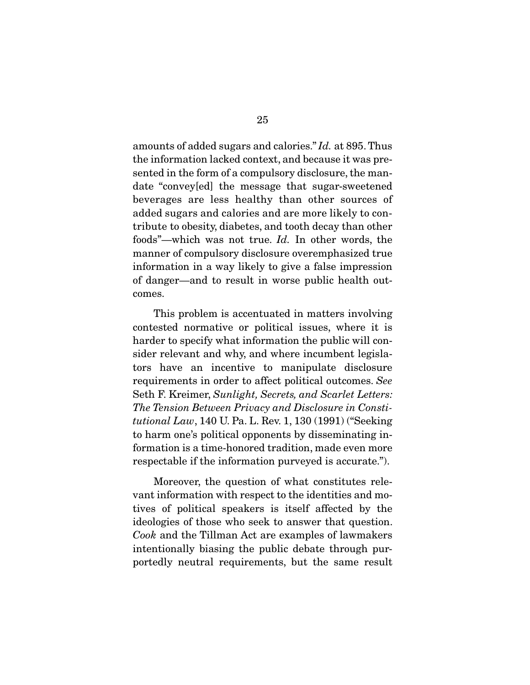amounts of added sugars and calories." Id. at 895. Thus the information lacked context, and because it was presented in the form of a compulsory disclosure, the mandate "convey[ed] the message that sugar-sweetened beverages are less healthy than other sources of added sugars and calories and are more likely to contribute to obesity, diabetes, and tooth decay than other foods"—which was not true. Id. In other words, the manner of compulsory disclosure overemphasized true information in a way likely to give a false impression of danger—and to result in worse public health outcomes.

 This problem is accentuated in matters involving contested normative or political issues, where it is harder to specify what information the public will consider relevant and why, and where incumbent legislators have an incentive to manipulate disclosure requirements in order to affect political outcomes. See Seth F. Kreimer, Sunlight, Secrets, and Scarlet Letters: The Tension Between Privacy and Disclosure in Constitutional Law, 140 U. Pa. L. Rev. 1, 130 (1991) ("Seeking to harm one's political opponents by disseminating information is a time-honored tradition, made even more respectable if the information purveyed is accurate.").

 Moreover, the question of what constitutes relevant information with respect to the identities and motives of political speakers is itself affected by the ideologies of those who seek to answer that question. Cook and the Tillman Act are examples of lawmakers intentionally biasing the public debate through purportedly neutral requirements, but the same result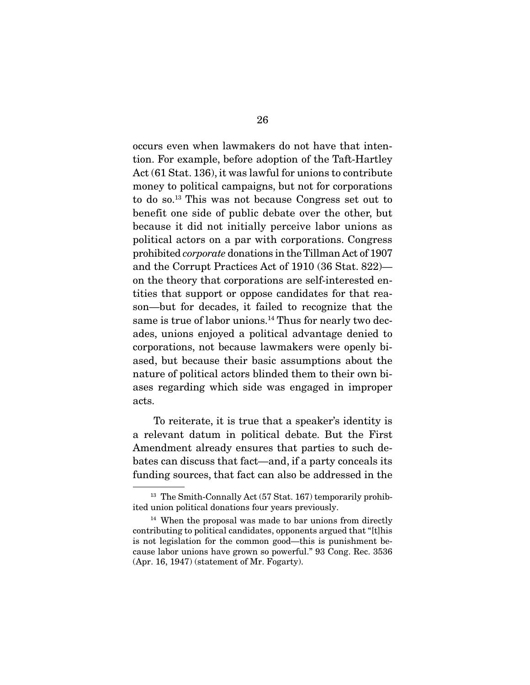occurs even when lawmakers do not have that intention. For example, before adoption of the Taft-Hartley Act (61 Stat. 136), it was lawful for unions to contribute money to political campaigns, but not for corporations to do so.13 This was not because Congress set out to benefit one side of public debate over the other, but because it did not initially perceive labor unions as political actors on a par with corporations. Congress prohibited corporate donations in the Tillman Act of 1907 and the Corrupt Practices Act of 1910 (36 Stat. 822) on the theory that corporations are self-interested entities that support or oppose candidates for that reason—but for decades, it failed to recognize that the same is true of labor unions.<sup>14</sup> Thus for nearly two decades, unions enjoyed a political advantage denied to corporations, not because lawmakers were openly biased, but because their basic assumptions about the nature of political actors blinded them to their own biases regarding which side was engaged in improper acts.

 To reiterate, it is true that a speaker's identity is a relevant datum in political debate. But the First Amendment already ensures that parties to such debates can discuss that fact—and, if a party conceals its funding sources, that fact can also be addressed in the

 $13$  The Smith-Connally Act (57 Stat. 167) temporarily prohibited union political donations four years previously.

<sup>&</sup>lt;sup>14</sup> When the proposal was made to bar unions from directly contributing to political candidates, opponents argued that "[t]his is not legislation for the common good—this is punishment because labor unions have grown so powerful." 93 Cong. Rec. 3536 (Apr. 16, 1947) (statement of Mr. Fogarty).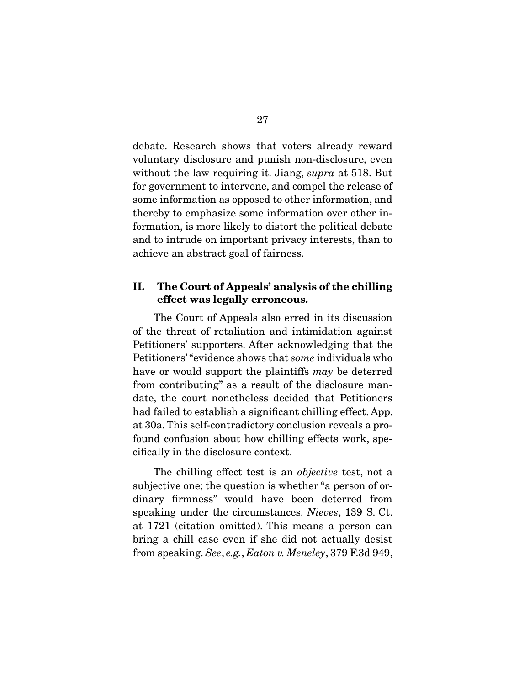debate. Research shows that voters already reward voluntary disclosure and punish non-disclosure, even without the law requiring it. Jiang, *supra* at 518. But for government to intervene, and compel the release of some information as opposed to other information, and thereby to emphasize some information over other information, is more likely to distort the political debate and to intrude on important privacy interests, than to achieve an abstract goal of fairness.

#### **II. The Court of Appeals' analysis of the chilling effect was legally erroneous.**

 The Court of Appeals also erred in its discussion of the threat of retaliation and intimidation against Petitioners' supporters. After acknowledging that the Petitioners' "evidence shows that some individuals who have or would support the plaintiffs may be deterred from contributing" as a result of the disclosure mandate, the court nonetheless decided that Petitioners had failed to establish a significant chilling effect. App. at 30a. This self-contradictory conclusion reveals a profound confusion about how chilling effects work, specifically in the disclosure context.

The chilling effect test is an *objective* test, not a subjective one; the question is whether "a person of ordinary firmness" would have been deterred from speaking under the circumstances. Nieves, 139 S. Ct. at 1721 (citation omitted). This means a person can bring a chill case even if she did not actually desist from speaking. See, e.g., Eaton v. Meneley, 379 F.3d 949,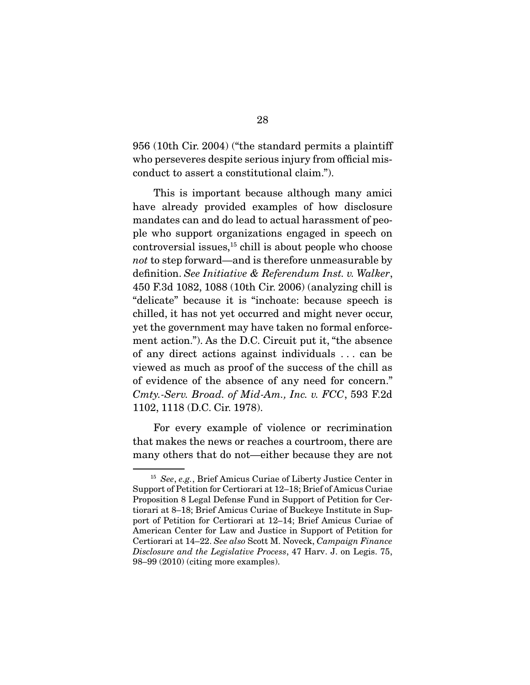956 (10th Cir. 2004) ("the standard permits a plaintiff who perseveres despite serious injury from official misconduct to assert a constitutional claim.").

 This is important because although many amici have already provided examples of how disclosure mandates can and do lead to actual harassment of people who support organizations engaged in speech on  $\alpha$  controversial issues,<sup>15</sup> chill is about people who choose not to step forward—and is therefore unmeasurable by definition. See Initiative & Referendum Inst. v. Walker, 450 F.3d 1082, 1088 (10th Cir. 2006) (analyzing chill is "delicate" because it is "inchoate: because speech is chilled, it has not yet occurred and might never occur, yet the government may have taken no formal enforcement action."). As the D.C. Circuit put it, "the absence of any direct actions against individuals . . . can be viewed as much as proof of the success of the chill as of evidence of the absence of any need for concern." Cmty.-Serv. Broad. of Mid-Am., Inc. v. FCC, 593 F.2d 1102, 1118 (D.C. Cir. 1978).

 For every example of violence or recrimination that makes the news or reaches a courtroom, there are many others that do not—either because they are not

<sup>15</sup> See, e.g., Brief Amicus Curiae of Liberty Justice Center in Support of Petition for Certiorari at 12–18; Brief of Amicus Curiae Proposition 8 Legal Defense Fund in Support of Petition for Certiorari at 8–18; Brief Amicus Curiae of Buckeye Institute in Support of Petition for Certiorari at 12–14; Brief Amicus Curiae of American Center for Law and Justice in Support of Petition for Certiorari at 14–22. See also Scott M. Noveck, Campaign Finance Disclosure and the Legislative Process, 47 Harv. J. on Legis. 75, 98–99 (2010) (citing more examples).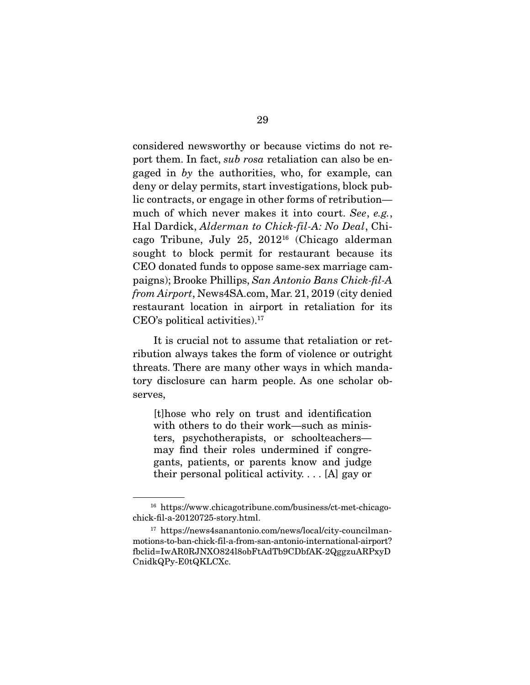considered newsworthy or because victims do not report them. In fact, sub rosa retaliation can also be engaged in by the authorities, who, for example, can deny or delay permits, start investigations, block public contracts, or engage in other forms of retribution much of which never makes it into court. See, e.g., Hal Dardick, Alderman to Chick-fil-A: No Deal, Chicago Tribune, July 25, 201216 (Chicago alderman sought to block permit for restaurant because its CEO donated funds to oppose same-sex marriage campaigns); Brooke Phillips, San Antonio Bans Chick-fil-A from Airport, News4SA.com, Mar. 21, 2019 (city denied restaurant location in airport in retaliation for its CEO's political activities).17

 It is crucial not to assume that retaliation or retribution always takes the form of violence or outright threats. There are many other ways in which mandatory disclosure can harm people. As one scholar observes,

[t]hose who rely on trust and identification with others to do their work—such as ministers, psychotherapists, or schoolteachers may find their roles undermined if congregants, patients, or parents know and judge their personal political activity.  $\ldots$  [A] gay or

<sup>16</sup> https://www.chicagotribune.com/business/ct-met-chicagochick-fil-a-20120725-story.html.

<sup>17</sup> https://news4sanantonio.com/news/local/city-councilmanmotions-to-ban-chick-fil-a-from-san-antonio-international-airport? fbclid=IwAR0RJNXO824l8obFtAdTb9CDbfAK-2QggzuARPxyD CnidkQPy-E0tQKLCXc.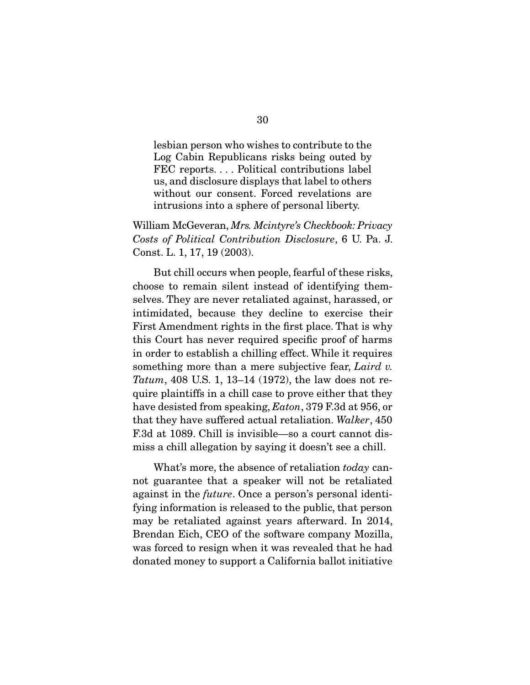lesbian person who wishes to contribute to the Log Cabin Republicans risks being outed by FEC reports. . . . Political contributions label us, and disclosure displays that label to others without our consent. Forced revelations are intrusions into a sphere of personal liberty.

William McGeveran, Mrs. Mcintyre's Checkbook: Privacy Costs of Political Contribution Disclosure, 6 U. Pa. J. Const. L. 1, 17, 19 (2003).

 But chill occurs when people, fearful of these risks, choose to remain silent instead of identifying themselves. They are never retaliated against, harassed, or intimidated, because they decline to exercise their First Amendment rights in the first place. That is why this Court has never required specific proof of harms in order to establish a chilling effect. While it requires something more than a mere subjective fear, Laird v. Tatum, 408 U.S. 1, 13–14 (1972), the law does not require plaintiffs in a chill case to prove either that they have desisted from speaking, *Eaton*, 379 F.3d at 956, or that they have suffered actual retaliation. Walker, 450 F.3d at 1089. Chill is invisible—so a court cannot dismiss a chill allegation by saying it doesn't see a chill.

What's more, the absence of retaliation today cannot guarantee that a speaker will not be retaliated against in the future. Once a person's personal identifying information is released to the public, that person may be retaliated against years afterward. In 2014, Brendan Eich, CEO of the software company Mozilla, was forced to resign when it was revealed that he had donated money to support a California ballot initiative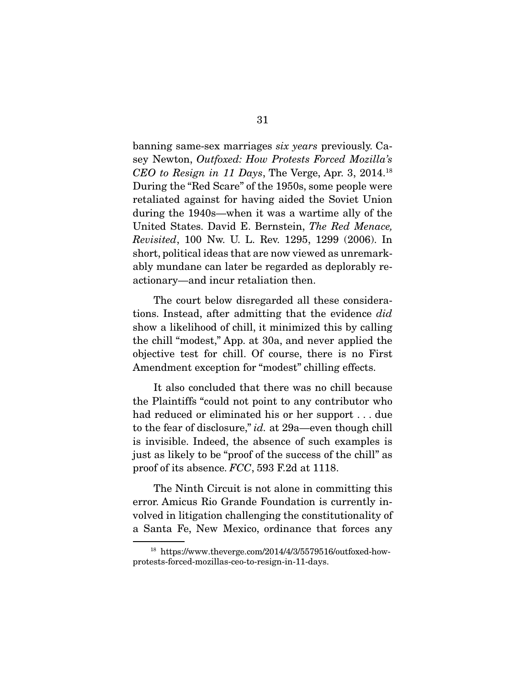banning same-sex marriages six years previously. Casey Newton, Outfoxed: How Protests Forced Mozilla's CEO to Resign in 11 Days, The Verge, Apr. 3, 2014.18 During the "Red Scare" of the 1950s, some people were retaliated against for having aided the Soviet Union during the 1940s—when it was a wartime ally of the United States. David E. Bernstein, The Red Menace, Revisited, 100 Nw. U. L. Rev. 1295, 1299 (2006). In short, political ideas that are now viewed as unremarkably mundane can later be regarded as deplorably reactionary—and incur retaliation then.

 The court below disregarded all these considerations. Instead, after admitting that the evidence did show a likelihood of chill, it minimized this by calling the chill "modest," App. at 30a, and never applied the objective test for chill. Of course, there is no First Amendment exception for "modest" chilling effects.

 It also concluded that there was no chill because the Plaintiffs "could not point to any contributor who had reduced or eliminated his or her support . . . due to the fear of disclosure," id. at 29a—even though chill is invisible. Indeed, the absence of such examples is just as likely to be "proof of the success of the chill" as proof of its absence. FCC, 593 F.2d at 1118.

 The Ninth Circuit is not alone in committing this error. Amicus Rio Grande Foundation is currently involved in litigation challenging the constitutionality of a Santa Fe, New Mexico, ordinance that forces any

<sup>18</sup> https://www.theverge.com/2014/4/3/5579516/outfoxed-howprotests-forced-mozillas-ceo-to-resign-in-11-days.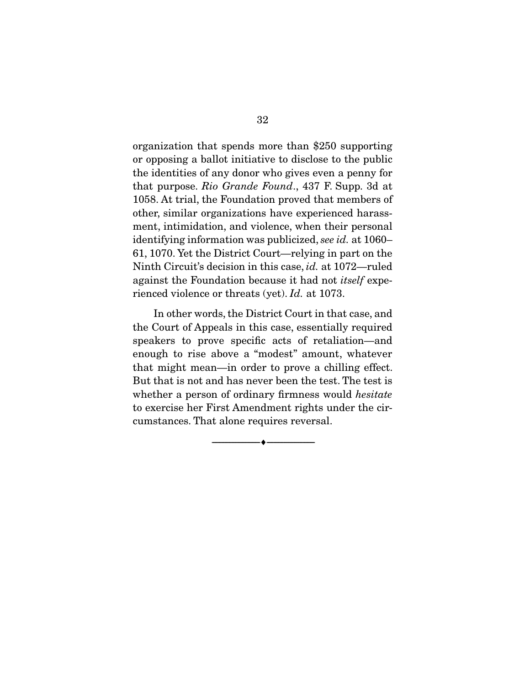organization that spends more than \$250 supporting or opposing a ballot initiative to disclose to the public the identities of any donor who gives even a penny for that purpose. Rio Grande Found., 437 F. Supp. 3d at 1058. At trial, the Foundation proved that members of other, similar organizations have experienced harassment, intimidation, and violence, when their personal identifying information was publicized, see id. at 1060– 61, 1070. Yet the District Court—relying in part on the Ninth Circuit's decision in this case, id. at 1072—ruled against the Foundation because it had not itself experienced violence or threats (yet). Id. at 1073.

 In other words, the District Court in that case, and the Court of Appeals in this case, essentially required speakers to prove specific acts of retaliation—and enough to rise above a "modest" amount, whatever that might mean—in order to prove a chilling effect. But that is not and has never been the test. The test is whether a person of ordinary firmness would *hesitate* to exercise her First Amendment rights under the circumstances. That alone requires reversal.

--------------------------------- ♦ ---------------------------------